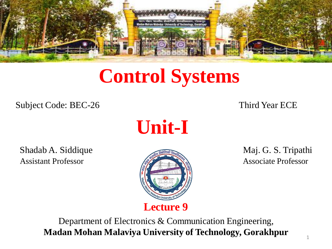

# **Control Systems**

Subject Code: BEC-26 Third Year ECE

**Unit-I**

Shadab A. Siddique **Maj. G. S. Tripathi** Assistant Professor **Associate Professor** Associate Professor



Department of Electronics & Communication Engineering, **Madan Mohan Malaviya University of Technology, Gorakhpur**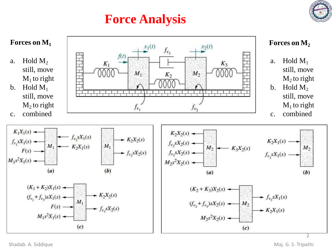## **Force Analysis**



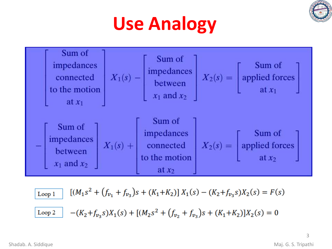

# **Use Analogy**



$$
\begin{aligned}\n\boxed{\text{Loop 1}} \quad & \left[ (M_1 s^2 + (f_{v_1} + f_{v_3})s + (K_1 + K_2) \right] X_1(s) - (K_2 + f_{v_3}s) X_2(s) = F(s) \\
\boxed{\text{Loop 2}} \quad & - (K_2 + f_{v_3}s) X_1(s) + \left[ (M_2 s^2 + (f_{v_2} + f_{v_3})s + (K_1 + K_2) \right] X_2(s) = 0\n\end{aligned}
$$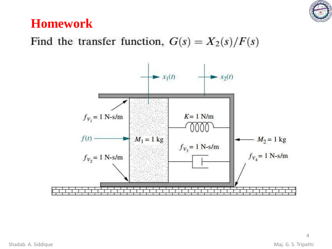

### **Homework**

#### Find the transfer function,  $G(s) = X_2(s)/F(s)$

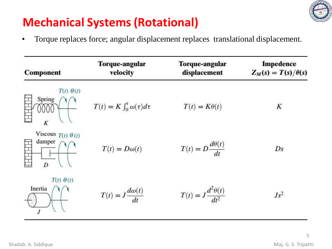

## **Mechanical Systems(Rotational)**

• Torque replaces force; angular displacement replaces translational displacement.

| <b>Component</b>                          | <b>Torque-angular</b><br>velocity      | Torque-angular<br>displacement        | <b>Impedence</b><br>$Z_M(s) = T(s)/\theta(s)$ |
|-------------------------------------------|----------------------------------------|---------------------------------------|-----------------------------------------------|
| $T(t)$ $\theta(t)$<br>Spring              | $T(t) = K \int_0^t \omega(\tau) d\tau$ | $T(t) = K\theta(t)$                   | K                                             |
| Viscous $T(t)$ $\theta(t)$<br>damper<br>D | $T(t) = D\omega(t)$                    | $T(t) = D \frac{d\theta(t)}{dt}$      | Ds                                            |
| $T(t)$ $\theta(t)$<br>Inertia             | $T(t) = J \frac{d\omega(t)}{t}$        | $T(t) = J \frac{d^2 \theta(t)}{dt^2}$ | $Js^2$                                        |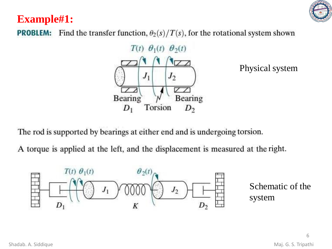#### **Example#1:**

Find the transfer function,  $\theta_2(s)/T(s)$ , for the rotational system shown **PROBLEM:** 



Physical system

The rod is supported by bearings at either end and is undergoing torsion.

A torque is applied at the left, and the displacement is measured at the right.

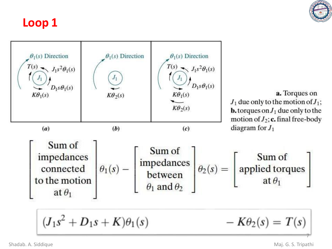

#### **Loop 1**

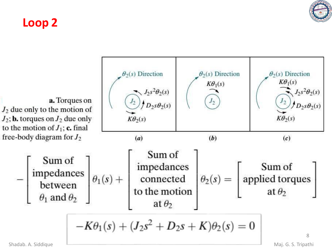

#### **Loop 2**

 $\theta_2(s)$  Direction  $\theta_2(s)$  Direction  $\theta_2(s)$  Direction  $K\theta_1(s)$  $K\theta_1(s)$  $J_2s^2\theta_2(s)$  $J_2s^2\theta_2(s)$  $J_2$ a. Torques on  $\big/ D_2 s \theta_2(s)$  $n_{2s}\theta_2(s)$  $J_2$  due only to the motion of  $K\theta_2(s)$  $J_2$ ; **b.** torques on  $J_2$  due only  $K\theta_2(s)$ to the motion of  $J_1$ ; c. final free-body diagram for  $J_2$  $(a)$  $(b)$  $(c)$ Sum of  $\begin{bmatrix} \text{Sum of} \\ \text{impedances} \\ \text{between} \\ \theta_1 \text{ and } \theta_2 \end{bmatrix} \theta_1(s) + \begin{bmatrix} \text{Sum of} \\ \text{impedances} \\ \text{connected} \\ \text{to the motion} \end{bmatrix} \theta_2(s) = \begin{bmatrix} \text{Sum of} \\ \text{applied torques} \\ \text{at } \theta_2 \end{bmatrix}$ at  $\theta_2$  $-K\theta_1(s) + (J_2s^2 + D_2s + K)\theta_2(s) = 0$ 8 Shadab. A. Siddique **Maj. G. S. Tripathi** Maj. G. S. Tripathi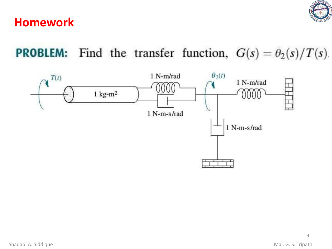

#### **Homework**

**PROBLEM:** Find the transfer function,  $G(s) = \theta_2(s)/T(s)$ .

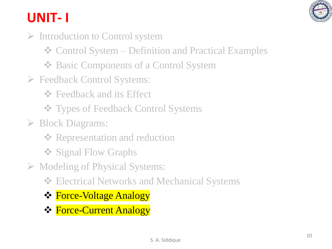

# **UNIT- I**

- ➢ Introduction to Control system
	- ❖ Control System Definition and Practical Examples
	- ❖ Basic Components of a Control System
- ➢ Feedback Control Systems:
	- **❖** Feedback and its Effect
	- ❖ Types of Feedback Control Systems
- ➢ Block Diagrams:
	- **❖ Representation and reduction**
	- ❖ Signal Flow Graphs
- ➢ Modeling of Physical Systems:
	- ❖ Electrical Networks and Mechanical Systems
	- ❖ Force-Voltage Analogy
	- ❖ Force-Current Analogy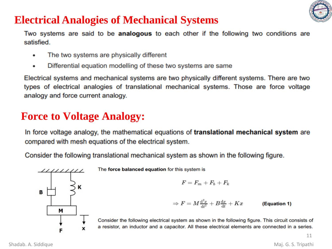

#### **Electrical Analogies of Mechanical Systems**

Two systems are said to be **analogous** to each other if the following two conditions are satisfied.

- The two systems are physically different  $\bullet$
- Differential equation modelling of these two systems are same  $\bullet$

Electrical systems and mechanical systems are two physically different systems. There are two types of electrical analogies of translational mechanical systems. Those are force voltage analogy and force current analogy.

#### **Force to Voltage Analogy:**

In force voltage analogy, the mathematical equations of translational mechanical system are compared with mesh equations of the electrical system.

Consider the following translational mechanical system as shown in the following figure.



The force balanced equation for this system is

$$
F=F_m+F_b+F_k
$$

$$
\Rightarrow F = M \frac{d^2 x}{dt^2} + B \frac{dx}{dt} + Kx \qquad \text{(Equation 1)}
$$

Consider the following electrical system as shown in the following figure. This circuit consists of a resistor, an inductor and a capacitor. All these electrical elements are connected in a series.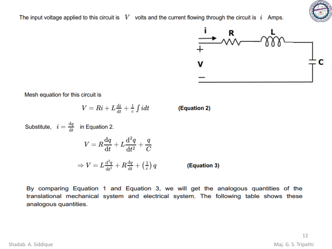The input voltage applied to this circuit is  $V$  volts and the current flowing through the circuit is  $i$  Amps.



Mesh equation for this circuit is

$$
V = Ri + L \tfrac{\mathrm{d}i}{\mathrm{d}t} + \tfrac{1}{c} \int i dt
$$

(Equation 2)

V

Substitute,  $i = \frac{dq}{dt}$  in Equation 2.  $V = R\frac{\mathrm{d}q}{\mathrm{d}t} + L\frac{\mathrm{d}^2q}{\mathrm{d}t^2} + \frac{q}{C}$  $\Rightarrow V = L \frac{d^2 q}{dt^2} + R \frac{dq}{dt} + \left(\frac{1}{c}\right) q$ (Equation 3)

By comparing Equation 1 and Equation 3, we will get the analogous quantities of the translational mechanical system and electrical system. The following table shows these analogous quantities.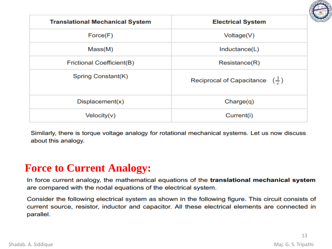

| <b>Translational Mechanical System</b> | <b>Electrical System</b>                             |  |
|----------------------------------------|------------------------------------------------------|--|
| Force(F)                               | Voltage(V)                                           |  |
| Mass(M)                                | Inductance(L)                                        |  |
| Frictional Coefficient(B)              | Resistance(R)                                        |  |
| Spring Constant(K)                     | Reciprocal of Capacitance $\left(\frac{1}{c}\right)$ |  |
| Displacement(x)                        | Change(q)                                            |  |
| Velocity(v)                            | Current(i)                                           |  |

Similarly, there is torque voltage analogy for rotational mechanical systems. Let us now discuss about this analogy.

#### **Force to Current Analogy:**

In force current analogy, the mathematical equations of the translational mechanical system are compared with the nodal equations of the electrical system.

Consider the following electrical system as shown in the following figure. This circuit consists of current source, resistor, inductor and capacitor. All these electrical elements are connected in parallel.

13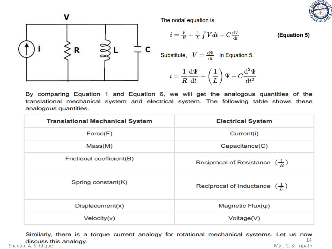



The nodal equation is

$$
i = \frac{V}{R} + \frac{1}{L} \int Vdt + C \frac{dV}{dt}
$$
 (Equation 5)

Substitute, 
$$
V = \frac{d\Psi}{dt}
$$
 in Equation 5.

$$
i = \frac{1}{R} \frac{d\Psi}{dt} + \left(\frac{1}{L}\right) \Psi + C \frac{d^2 \Psi}{dt^2}
$$

By comparing Equation 1 and Equation 6, we will get the analogous quantities of the translational mechanical system and electrical system. The following table shows these analogous quantities.

| <b>Translational Mechanical System</b> | <b>Electrical System</b>                            |  |
|----------------------------------------|-----------------------------------------------------|--|
| Force(F)                               | Current(i)                                          |  |
| Mass(M)                                | Capacitance(C)                                      |  |
| Frictional coefficient(B)              | Reciprocal of Resistance $\left(\frac{1}{R}\right)$ |  |
| Spring constant(K)                     | Reciprocal of Inductance $(\frac{1}{L})$            |  |
| Displacement(x)                        | Magnetic $Flux(\psi)$                               |  |
| Velocity(v)                            | Voltage(V)                                          |  |

Similarly, there is a torque current analogy for rotational mechanical systems. Let us now 14 discuss this analogy. 14<br>Shadab. A. Siddique Maj. G. S. Tripathi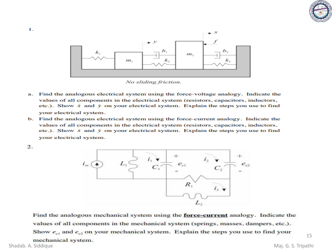



No sliding friction.

- Find the analogous electrical system using the force-voltage analogy. Indicate the a. values of all components in the electrical system (resistors, capacitors, inductors, etc.). Show  $\dot{x}$  and  $\dot{y}$  on your electrical system. Explain the steps you use to find your electrical system.
- b. Find the analogous electrical system using the force-current analogy. Indicate the values of all components in the electrical system (resistors, capacitors, inductors, etc.). Show  $\dot{x}$  and  $\dot{y}$  on your electrical system. Explain the steps you use to find your electrical system.



1.



Find the analogous mechanical system using the **force-current** analogy. Indicate the values of all components in the mechanical system (springs, masses, dampers, etc.). Show  $e_{c1}$  and  $e_{c2}$  on your mechanical system. Explain the steps you use to find your

mechanical system.